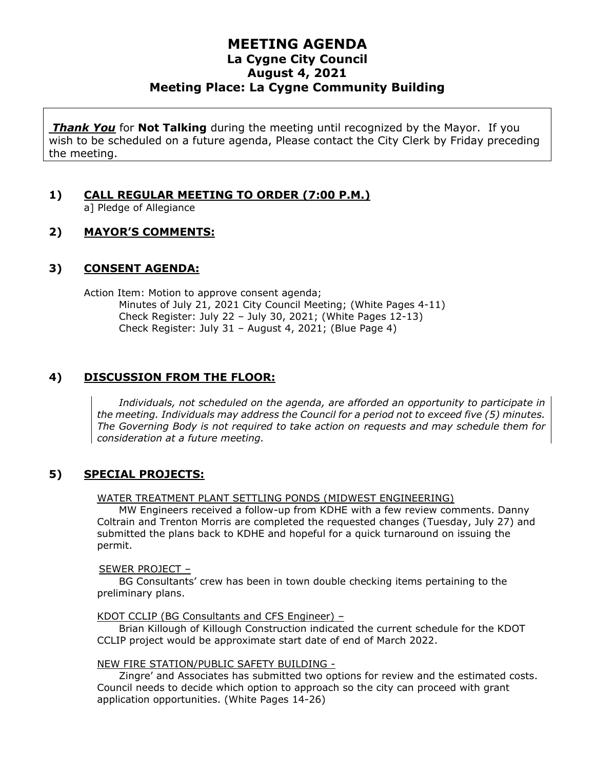# **MEETING AGENDA La Cygne City Council August 4, 2021 Meeting Place: La Cygne Community Building**

*Thank You* for **Not Talking** during the meeting until recognized by the Mayor. If you wish to be scheduled on a future agenda, Please contact the City Clerk by Friday preceding the meeting.

# **1) CALL REGULAR MEETING TO ORDER (7:00 P.M.)**

a] Pledge of Allegiance

#### **2) MAYOR'S COMMENTS:**

#### **3) CONSENT AGENDA:**

Action Item: Motion to approve consent agenda; Minutes of July 21, 2021 City Council Meeting; (White Pages 4-11) Check Register: July 22 – July 30, 2021; (White Pages 12-13) Check Register: July 31 – August 4, 2021; (Blue Page 4)

### **4) DISCUSSION FROM THE FLOOR:**

*Individuals, not scheduled on the agenda, are afforded an opportunity to participate in the meeting. Individuals may address the Council for a period not to exceed five (5) minutes. The Governing Body is not required to take action on requests and may schedule them for consideration at a future meeting.*

#### **5) SPECIAL PROJECTS:**

#### WATER TREATMENT PLANT SETTLING PONDS (MIDWEST ENGINEERING)

MW Engineers received a follow-up from KDHE with a few review comments. Danny Coltrain and Trenton Morris are completed the requested changes (Tuesday, July 27) and submitted the plans back to KDHE and hopeful for a quick turnaround on issuing the permit.

#### SEWER PROJECT –

BG Consultants' crew has been in town double checking items pertaining to the preliminary plans.

#### KDOT CCLIP (BG Consultants and CFS Engineer) –

Brian Killough of Killough Construction indicated the current schedule for the KDOT CCLIP project would be approximate start date of end of March 2022.

#### NEW FIRE STATION/PUBLIC SAFETY BUILDING -

Zingre' and Associates has submitted two options for review and the estimated costs. Council needs to decide which option to approach so the city can proceed with grant application opportunities. (White Pages 14-26)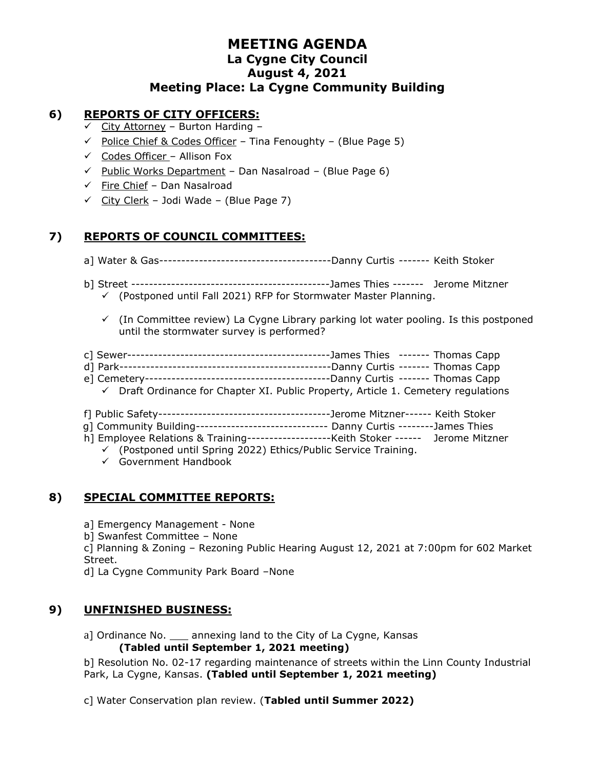# **MEETING AGENDA La Cygne City Council August 4, 2021 Meeting Place: La Cygne Community Building**

### **6) REPORTS OF CITY OFFICERS:**

- $\checkmark$  City Attorney Burton Harding -
- $\checkmark$  Police Chief & Codes Officer Tina Fenoughty (Blue Page 5)
- $\checkmark$  Codes Officer Allison Fox
- $\checkmark$  Public Works Department Dan Nasalroad (Blue Page 6)
- $\checkmark$  Fire Chief Dan Nasalroad
- $\checkmark$  City Clerk Jodi Wade (Blue Page 7)

### **7) REPORTS OF COUNCIL COMMITTEES:**

- a] Water & Gas---------------------------------------Danny Curtis ------- Keith Stoker
- b] Street ---------------------------------------------James Thies ------- Jerome Mitzner
	- $\checkmark$  (Postponed until Fall 2021) RFP for Stormwater Master Planning.
	- ✓ (In Committee review) La Cygne Library parking lot water pooling. Is this postponed until the stormwater survey is performed?
- c] Sewer----------------------------------------------James Thies ------- Thomas Capp d] Park------------------------------------------------Danny Curtis ------- Thomas Capp
- e] Cemetery------------------------------------------Danny Curtis ------- Thomas Capp
- $\checkmark$  Draft Ordinance for Chapter XI. Public Property, Article 1. Cemetery regulations
- f] Public Safety---------------------------------------Jerome Mitzner------ Keith Stoker
- g] Community Building------------------------------ Danny Curtis --------James Thies
- h] Employee Relations & Training-------------------Keith Stoker ------ Jerome Mitzner

✓ (Postponed until Spring 2022) Ethics/Public Service Training.

✓ Government Handbook

# **8) SPECIAL COMMITTEE REPORTS:**

- a] Emergency Management None
- b] Swanfest Committee None

c] Planning & Zoning – Rezoning Public Hearing August 12, 2021 at 7:00pm for 602 Market Street.

d] La Cygne Community Park Board –None

#### **9) UNFINISHED BUSINESS:**

a] Ordinance No. \_\_\_ annexing land to the City of La Cygne, Kansas **(Tabled until September 1, 2021 meeting)**

b] Resolution No. 02-17 regarding maintenance of streets within the Linn County Industrial Park, La Cygne, Kansas. **(Tabled until September 1, 2021 meeting)**

c] Water Conservation plan review. (**Tabled until Summer 2022)**